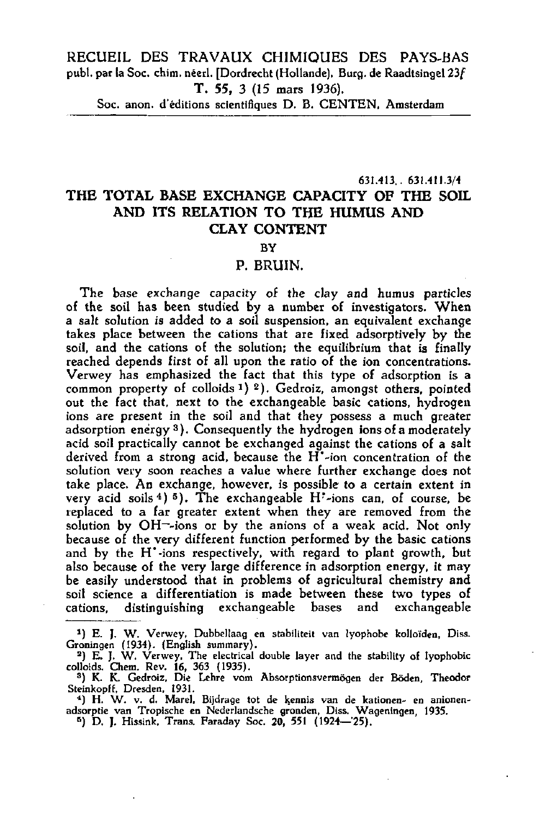RECUEIL DES TRAVAUX CHIMIQUES DES PAYS-BAS publ. par la Soc. chim. néerl. [Dordrecht (Hollande), Burg, de Raadtsingel 23f T. 55, 3 (15 mars 1936).

Soc. anon. d'éditions scientifiques D. B. CENTEN, Amsterdam

**631.413.. 631.411.3/4** 

## **THE TOTAL BASE EXCHANGE CAPACITY OF THE SOIL**  AND ITS RELATION TO THE HUMUS AND **CLAY CONTENT**

## BY

## P. BRUIN.

The base exchange capacity of the clay and humus particles of the soil has been studied by a number of investigators. When a salt solution is added to a soil suspension, an equivalent exchange takes place between the cations that are fixed absorptively by the soil, and the cations of the solution; the equilibrium that is finally reached depends first of all upon the ratio of the ion concentrations. Verwey has emphasized the fact that this type of adsorption is a common property of colloids  $1)$   $2)$ . Gedroiz, amongst others, poi out the fact that, next to the exchangeable basic cations, hydrogen ions are present in the soil and that they possess a much greater adsorption energy <sup>3</sup>). Consequently the hydrogen ions of a moderation acid soil practically cannot be exchanged against the cations of a salt derived from a strong acid, because the H\*-ion concentration of the solution very soon reaches a value where further exchange does not take place. An exchange, however, is possible to a certain extent in very acid soils  $(4)$  5). The exchangeable  $H^*$ -ions can, of cours replaced to a far greater extent when they are removed from the solution by  $OH$ -ions or by the anions of a weak acid. No because of the very different function performed by the basic cations and by the H<sup>-</sup>-ions respectively, with regard to plant growth, but also because of the very large difference in adsorption energy, it may be easily understood that in problems of agricultural chemistry and soil science a differentiation is made between these two types of cations, distinguishing exchangeable bases and exchangeable

<sup>5</sup>) D. J. Hissink, Trans. Faraday Soc. 20, 551 (1924–

<sup>\*)</sup> E. J. W. Verwey, Dubbellaag en stabiliteit van lyophobe kolloiden, Diss. Groningen (1934). (English summary).<br>2) E. J. W. Verwey, The electrical double layer and the stability of ly

colloids. Chem. Rev. 16, 363 (1935).<br><sup>3</sup>) K. K. Gedroiz, Die Lehre vom Absorptionsvermögen der Böden, Th

Steinkopff, Dresden, 1931.<br>- 4) H. W. v. d. Marel, Bijdrage tot de kennis van de kationen- en a

adsorptie van Tropische en Nederlandsche gronden, Diss. Wageningen, 1935.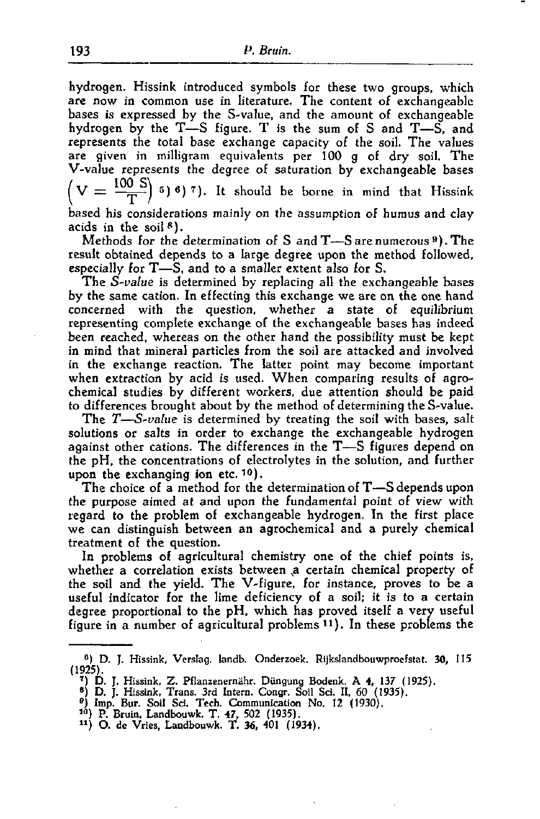hydrogen. Hissink introduced symbols for these two groups, which are now in common use in literature. The content of exchangeable bases is expressed by the S-value, and the amount of exchangeable hydrogen by the  $T-S$  figure. T is the sum of S and  $T-S$ , and represents the total base exchange capacity of the soil. The values are given in milligram equivalents per 100 g of dry soil. The V-value represents the degree of saturation by exchangeable bases  $(V = \frac{100 \text{ J}}{\text{s}})^{5}$  (5) (6) (7). It should be borne in mind that based his considerations mainly on the assumption of humus and clay acids in the soil

Methods for the determination of S and T—S are numerous  $^9)$ result obtained depends to a large degree upon the method followed, especially for T—S, and to a smaller extent also for S.

The *S-value* is determined by replacing all the exchangeable bases by the same cation. In effecting this exchange we are on the one hand concerned with the question, whether a state of equilibrium representing complete exchange of the exchangeable bases has indeed been reached, whereas on the other hand the possibility must be kept in mind that mineral particles from the soil are attacked and involved in the exchange reaction. The latter point may become important when extraction by acid is used. When comparing results of agrochemical studies by different workers, due attention should be paid to differences brought about by the method of determining the S-value.

The *T*—*S-value* is determined by treating the soil with bases, salt solutions or salts in order to exchange the exchangeable hydrogen against other cations. The differences in the T—S figures depend on the pH, the concentrations of electrolytes in the solution, and further upon the exchanging ion etc.  $10$ .

The choice of a method for the determination of T—S depends upon the purpose aimed at and upon the fundamental point of view with regard to the problem of exchangeable hydrogen. In the first place we can distinguish between an agrochemical and a purely chemical treatment of the question.

In problems of agricultural chemistry one of the chief points is, whether a correlation exists between a certain chemical property of the soil and the yield. The V-figure, for instance, proves to be a useful indicator for the lime deficiency of a soil; it is to a certain degree proportional to the pH, which has proved itself a very useful figure in a number of agricultural problems  $(11)$ . In these problem

- 
- 

<sup>°)</sup> D. J. Hissink, Verslag, landb. Onderzoek. Rijkslandbouwproefstat. 30, 115 (1925).

<sup>&</sup>lt;sup>7</sup>) D. J. Hissink, Z. Pflanzenernähr. Düngung Bodenk, A 4, 137 (8) D. J. Hissink, Trans. 3rd Intern. Congr. Soil Sci. II, 60 (1935)<br><sup>8</sup>) Imp. Bur. Soil Sci. Tech. Communication No. 12 (1930).<br><sup>10</sup>) P. Bruin, Landbouwk. T.

<sup>&</sup>lt;sup>11</sup>) O. de Vries, Landbouwk. T. 36, 401 (1934).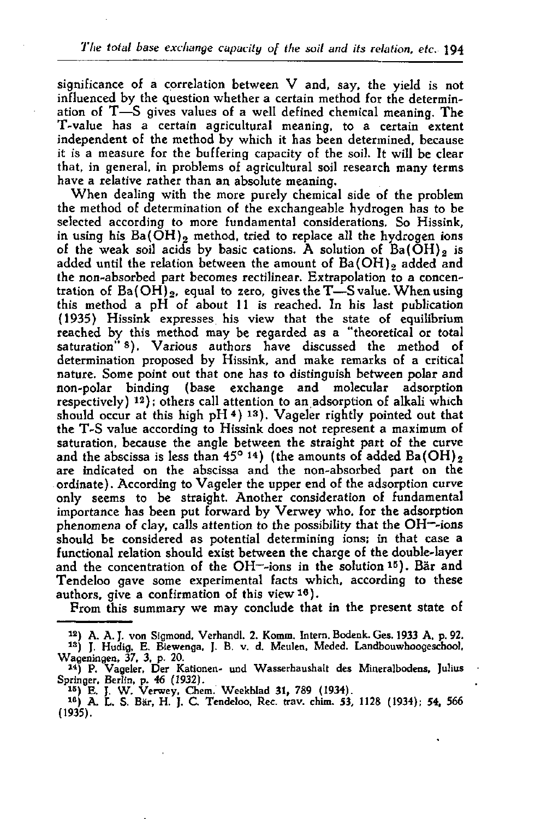significance of a correlation between V and, say, the yield is not influenced by the question whether a certain method for the determination of T—S gives values of a well defined chemical meaning. The T-value has a certain agricultural meaning, to a certain extent independent of the method by which it has been determined, because it is a measure for the buffering capacity of the soil. It will be clear that, in general, in problems of agricultural soil research many terms have a relative rather than an absolute meaning.

When dealing with the more purely chemical side of the problem the method of determination of the exchangeable hydrogen has to be selected according to more fundamental considerations. So Hissink, in using his  $Ba(OH)$ , method, tried to replace all the hydrogen ions of the weak soil acids by basic cations. A solution of  $Ba(OH)_{2}$  is added until the relation between the amount of  $Ba(OH)$ , added and the non-absorbed part becomes rectilinear. Extrapolation to a concentration of  $Ba(OH)_{2}$ , equal to zero, gives the T-S value. When using this method a pH of about 11 is reached. In his last publication (1935) Hissink expresses his view that the state of equilibrium reached by this method may be regarded as a "theoretical or total saturation" 8). Various authors have discussed the method determination proposed by Hissink, and make remarks of a critical nature. Some point out that one has to distinguish between polar and non-polar binding (base exchange and molecular adsorption  $r^2$  ,  $r^2$  ,  $r^2$  ); others call attention to an adsorption of alkali  $\cdot$ should occur at this high pH  $(4)$  13). Vageler rightly pointed out the T-S value according to Hissink does not represent a maximum of saturation, because the angle between the straight part of the curve and the abscissa is less than  $45^{\circ}$  14) (the amounts of added Ba) are indicated on the abscissa and the non-absorbed part on the ordinate). According to Vageler the upper end of the adsorption curve only seems to be straight. Another consideration of fundamental importance has been put forward by Verwey who, for the adsorption phenomena of clay, calls attention to the possibility that the OH—-ions should be considered as potential determining ions; in that case a functional relation should exist between the charge of the double-layer runctional relation should exist between the charge of the double.<br>and the concentration of the  $OH$ -sions in the solution  $15$ ). Bä Tendeloo gave some experimental facts which, according to these rendeloo gave some experimental racts

From this summary we may conclude that in the present state of

<sup>12</sup>) A. A. J. von Sigmond, Verhandl. 2. Komm. Intern. Bodenk. Ges. 1933 A, p. 92.

<sup>&</sup>lt;sup>13</sup>) J. Hudig, E. Biewenga, J. B. v. d. Meulen, Meded. Landbouwhoogeschool, Wageningen, 37, 3, p. 20.<br>14) P. Vageler, Der Kationen- und Wasserhaushalt des Mineralbodens,

Springer, Berlin, p. 46 (1932).

<sup>&</sup>lt;sup>15</sup>) E. J. W. Verwey, Chem. Weekblad 31, 789 (1934).<br><sup>18</sup>) A. L. S. Bär, H. J. C. Tendeloo, Rec. trav. chim. 53, 1128 (1934) (1935).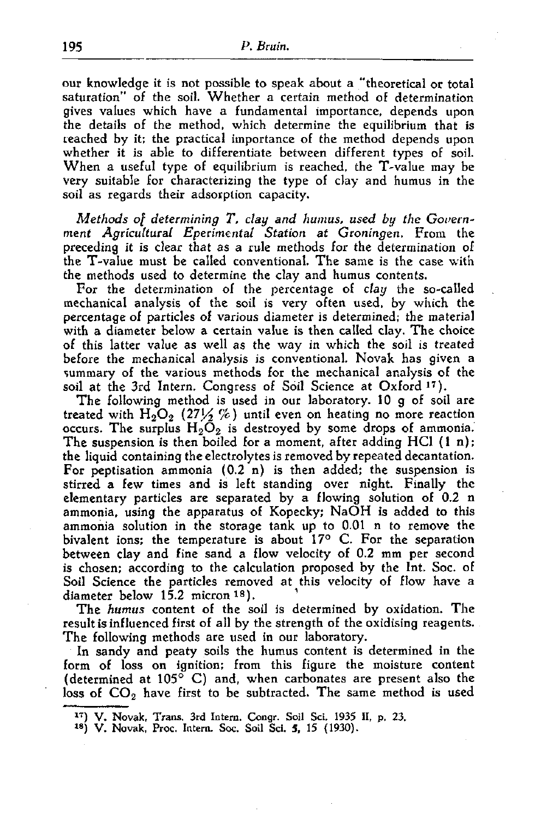our knowledge it is not possible to speak about a "theoretical or total saturation" of the soil. Whether a certain method of determination gives values which have a fundamental importance, depends upon the details of the method, which determine the equilibrium that is reached by it; the practical importance of the method depends upon whether it is able to differentiate between different types of soil. When a useful type of equilibrium is reached, the T-value may be very suitable for characterizing the type of clay and humus in the soil as regards their adsorption capacity.

*Methods of determining T, clay and humus, used by the Government Agricultural Eperimental Station at Groningen.* From the preceding it is clear that as a rule methods for the determination of the T-value must be called conventional. The same is the case with the methods used to determine the clay and humus contents.

For the determination of the percentage of *clay* the so-called mechanical analysis of the soil is very often used, by which the percentage of particles of various diameter is determined; the material with a diameter below a certain value is then called clay. The choice of this latter value as well as the way in which the soil is treated before the mechanical analysis is conventional. Novak has given a summary of the various methods for the mechanical analysis of the soil at the 3rd Intern. Congress of Soil Science at Oxford<sup>17</sup>).

The following method is used in our laboratory. 10 g of soil are treated with  $H_2O_2$  (27 $\frac{1}{2}$ %) until even on heating no more reaction occurs. The surplus  $H_2O_2$  is destroyed by some drops of ammonia. The suspension is then boiled for a moment, after adding  $HCl$  (1 n); the liquid containing the electrolytes is removed by repeated décantation. For peptisation ammonia (0.2 n) is then added; the suspension is stirred a few times and is left standing over night. Finall elementary particles are separated by a flowing solution of ammonia, using the apparatus of Kopecky; NaOH is added to this ammonia solution in the storage tank up to 0.01 n to remove the bivalent ions; the temperature is about  $17^{\circ}$  C. For the separation between clay and fine sand a flow velocity of 0.2 mm per second is chosen; according to the calculation proposed by the Int. Soc. of Soil Science the particles removed at this velocity of flow have a diameter below 15.2 micron 18).

The *humus* content of the soil is determined by oxidation. The result is influenced first of all by the strength of the oxidising reagents. The following methods are used in our laboratory.

In sandy and peaty soils the humus content is determined in the form of loss on ignition; from this figure the moisture content (determined at 105° C) and, when carbonates are present also the loss of  $CO<sub>2</sub>$  have first to be subtracted. The same method is used

<sup>1</sup>T) V. Novak, Trans. 3rd Intern. Congr. Soil Sei. 1935 II, p. 23.

<sup>&</sup>lt;sup>18</sup>) V. Novak, Proc. Intern. Soc. Soil Sci. 5, 15 (1930).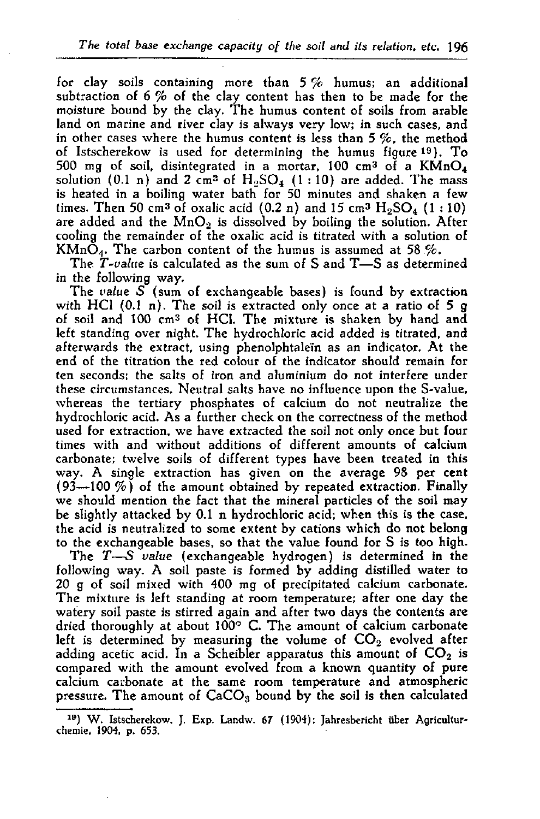for clay soils containing more than 5 % humus; an additional subtraction of 6 % of the clay content has then to be made for the moisture bound by the clay. The humus content of soils from arable land on marine and river clay is always very low; in such cases, and in other cases where the humus content is less than 5 %, the method of Istscherekow is used for determining the humus figure 19). To 500 mg of soil, disintegrated in a mortar,  $100$  cm<sup>3</sup> of a K solution (0.1 n) and 2 cm<sup>3</sup> of  $\rm H_2SO_4$  (1:10) are added. The mass of  $\rm H_2SO_4$ is heated in a boiling water bath for 50 minutes and shaken a few times. Then 50 cm<sup>3</sup> of oxalic acid (0.2 n) and 15 cm<sup>3</sup>  $\rm H_2SO_4$ are added and the  $MnO<sub>2</sub>$  is dissolved by boiling the solution. After cooling the remainder of the oxalic acid is titrated with a solution of  $KMn\ddot{\mathrm{O}}_4$ . The carbon content of the humus is assumed at 58  $\%$ .

The *T*-value is calculated as the sum of S and T—S as determined in the following way.

The *value S* (sum of exchangeable bases) is found by extraction with HCl  $(0.1 n)$ . The soil is extracted only once at a ratio of 5 g of soil and 100 cm<sup>3</sup> of HCl. The mixture is shaken by ha left standing over night. The hydrochloric acid added is titrated, and afterwards the extract, using phenolphtalein as an indicator. At the end of the titration the red colour of the indicator should remain for ten seconds; the salts of iron and aluminium do not interfere under these circumstances. Neutral salts have no influence upon the S-value, whereas the tertiary phosphates of calcium do not neutralize the hydrochloric acid. As a further check on the correctness of the method used for extraction, we have extracted the soil not only once but four times with and without additions of different amounts of calcium carbonate; twelve soils of different types have been treated in this way. A single extraction has given on the average 98 per cent  $(93-100\%)$  of the amount obtained by repeated extraction. Finally we should mention the fact that the mineral particles of the soil may be slightly attacked by 0.1 n hydrochloric acid; when this is the case, the acid is neutralized to some extent by cations which do not belong to the exchangeable bases, so that the value found for S is too high.

The *T*—S *value* (exchangeable hydrogen) is determined in the following way. A soil paste is formed by adding distilled water to 20 g of soil mixed with 400 mg of precipitated calcium carbonate. The mixture is left standing at room temperature; after one day the watery soil paste is stirred again and after two days the contents are dried thoroughly at about 100° C. The amount of calcium carbonate left is determined by measuring the volume of  $CO<sub>2</sub>$  evolved after adding acetic acid. In a Scheibler apparatus this amount of  $CO<sub>2</sub>$  is compared with the amount evolved from a known quantity of pure calcium carbonate at the same room temperature and atmospheric pressure. The amount of  $CaCO<sub>3</sub>$  bound by the soil is then calculated

<sup>19</sup>) W. Istscherekow, J. Exp. Landw. 67 (1904); Jahresbericht über Agriculturchemie, 1904, p. 653.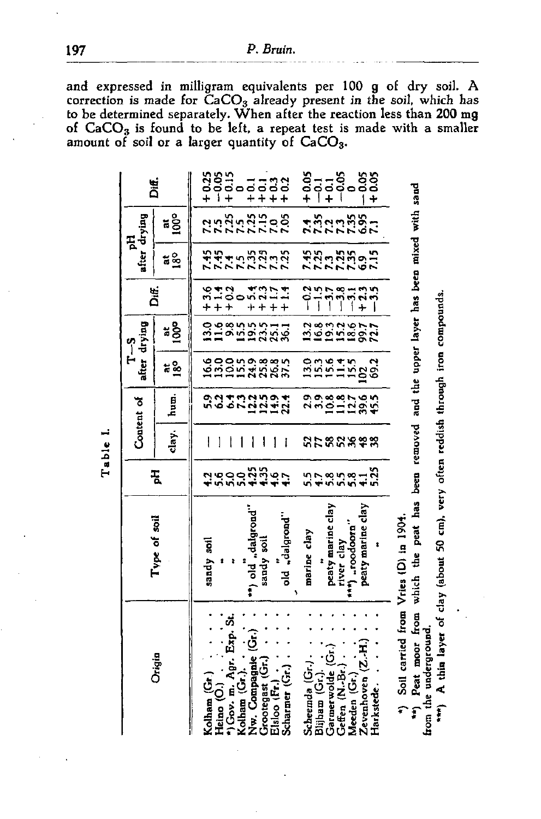and expressed in milligram equivalents per 100 g of dry soil. A correction is made for  $\text{CaCO}_3$  already present in the soil, which has to be determined separately. When after the reaction less than 200 mg of  $CaCO<sub>3</sub>$  is found to be left, a repeat test is made with a smaller amount of soil or a larger quantity of  $CaCO<sub>3</sub>$ .

**a** 

**Ü** 

Vi **ra** 

**a 3 0 a 0 u a 0** 

 $rac{1}{2}$   $rac{1}{2}$ 

 $\cdot$ **en reddish** 

**0**  IM **> F o m 3 .O** 

41 **ra** 

t . 41 **a a 9** 

<u>ب</u> **TJ a a**  <u>र</u>ू **0 H**  i \*

**a**  41 **4> .a** 

**a •c** 

**e peat** 

 $\frac{1}{2}$ 

**S 0 J:** 

**•a 3 o**  OS

**"0 0 >• n £ < «** 

**o 0 fi** 

41 **a.** 

**a 9**  4)

**E o** 

**\*** 

|                                         |                               |                                        |         | Content of       | م<br>1-             | after drying          | Dit.          | after drying<br>됲         |                                   | iif.                       |
|-----------------------------------------|-------------------------------|----------------------------------------|---------|------------------|---------------------|-----------------------|---------------|---------------------------|-----------------------------------|----------------------------|
| Origin                                  | Type of soil                  | Į                                      | day.    | hun.             | ដ&្ឋ                | ៵ៜ                    |               | $\frac{3}{18}$            | ៵ៜ                                |                            |
| Kolham (Gr.)                            | sandy soil                    |                                        |         |                  |                     |                       | $+3.6$        |                           |                                   |                            |
| Heino (O.)                              |                               |                                        | 1       |                  |                     |                       | $+$           |                           |                                   | $2359$<br>$-959$<br>$+169$ |
| "Gov. m. Agr. Exp. St.                  |                               |                                        | ľ       |                  |                     |                       |               |                           |                                   |                            |
| Kolham (Gr.).                           |                               | ゚<br>ヾヮヮヮ゙ゎ゙゙ゕ゚ヮヽ<br>゚゚゚゚゠゙ゕゕゕ゚゚゚゠゚゠゚゚ |         |                  | <b>らののほのあるだかい</b>   | りゅうちょう はれる はりはい はっという | 1304          | スプリスファファ<br>キルチラミング       | nnnnnnn<br>1989 1990<br>1989 1990 |                            |
| Nw. Compagnie (Gr.)                     | **) old "dalgrond"            |                                        | I       |                  |                     |                       |               |                           |                                   | $77.70$<br>$+ + + +$       |
|                                         | sandy soil                    |                                        | ۱       |                  |                     |                       |               |                           |                                   |                            |
| Grootegast (Gr.)<br>Elsloo (Fr.)        |                               |                                        | 1       |                  |                     |                       | $\frac{1}{2}$ |                           |                                   |                            |
| Scharmer (Gr.)                          | old "dalgrond"                |                                        | ļ       | 9.21.22.22.22.23 |                     | દ્રુ                  |               |                           |                                   |                            |
|                                         |                               |                                        |         |                  |                     |                       |               |                           |                                   |                            |
| Scheemda (Gr.).                         | marine clay                   | 557                                    |         |                  | 13.0                |                       |               |                           |                                   | 8-1-5<br>0000<br>+ 1-1     |
| Blijham (Gr.).                          |                               |                                        |         |                  |                     |                       |               |                           |                                   |                            |
| Garmerwolde (Gr.)                       | peaty marine clay             |                                        |         |                  |                     |                       |               |                           |                                   |                            |
| Geffen (N.Br.)                          |                               |                                        |         |                  |                     |                       |               |                           |                                   |                            |
| Meeden (Gr.)                            | river clay<br>***) "roodoorn" |                                        |         |                  |                     |                       |               |                           |                                   |                            |
| Zevenhoven (Z.H.)                       | peaty marine clay             | 8958-8<br>5958-8                       | 5588888 |                  | $122200$<br>$12200$ | はほほほぼのないはほぼは          |               | <b>おぶらだぎるい</b><br>おぶらだだるに | <b>れまさきます</b><br>そうとうだめい          | $-0.05$<br>+0.05           |
| Harkstede.                              |                               |                                        |         | りりきほけんちょうしょう     |                     |                       |               |                           |                                   |                            |
|                                         |                               |                                        |         |                  |                     |                       |               |                           |                                   |                            |
| *) Soil carried from Vries (D) in 1904. |                               |                                        |         |                  |                     |                       |               |                           |                                   |                            |
|                                         |                               |                                        |         |                  |                     |                       |               |                           |                                   |                            |

**41**  *X)*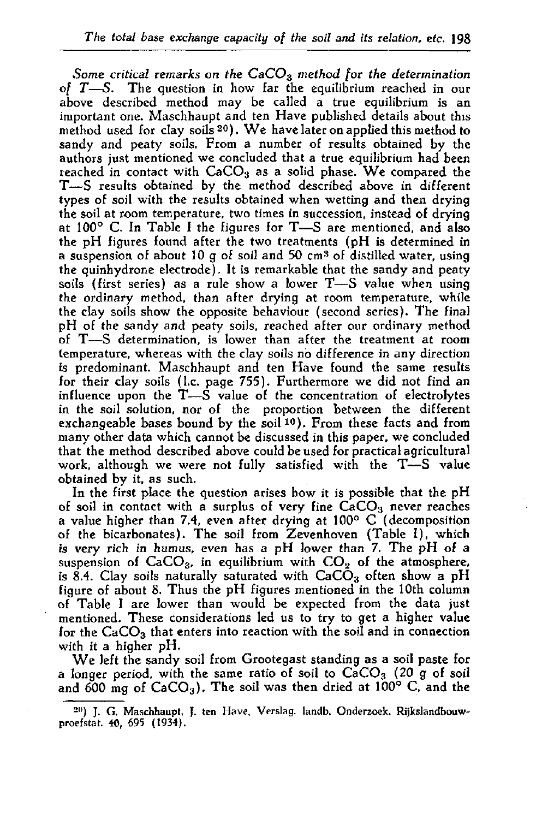*Some critical remarks on the CaC03 method for the determination of T*—S. The question in how far the equilibrium reached in our above described method may be called a true equilibrium is an important one. Maschhaupt and ten Have published details about this method used for clay soils  $20$ . We have later on applied this method to sandy and peaty soils. From a number of results obtained by the authors just mentioned we concluded that a true equilibrium had been reached in contact with  $CaCO<sub>3</sub>$  as a solid phase. We compared the T—S results obtained by the method described above in different types of soil with the results obtained when wetting and then drying the soil at room temperature, two times in succession, instead of drying at 100° C. In Table I the figures for T—S are mentioned, and also the pH figures found after the two treatments (pH is determined in a suspension of about  $10 \text{ g}$  of soil and  $50 \text{ cm}^3$  of distilled water the quinhydrone electrode). It is remarkable that the sandy and peaty soils (first series) as a rule show a lower T—S value when using the ordinary method, than after drying at room temperature, while the clay soils show the opposite behaviour (second series). The final pH of the sandy and peaty soils, reached after our ordinary method of T—S determination, is lower than after the treatment at room temperature, whereas with the clay soils no difference in any direction is predominant. Maschhaupt and ten Have found the same results for their clay soils (I.e. page 755). Furthermore we did not find an influence upon the T—S value of the concentration of electrolytes in the soil solution, nor of the proportion between the different exchangeable bases bound by the soil  $10$ ). From these facts and from many other data which cannot be discussed in this paper, we concluded that the method described above could be used for practical agricultural work, although we were not fully satisfied with the T—S value obtained by it, as such.

In the first place the question arises how it is possible that the pH of soil in contact with a surplus of very fine  $CaCO<sub>3</sub>$  never reaches a value higher than 7.4, even after drying at 100° C (decomposition of the bicarbonates). The soil from Zevenhoven (Table I), which is very rich in humus, even has a pH lower than 7. The pH of a suspension of  $CaCO<sub>3</sub>$ , in equilibrium with  $CO<sub>2</sub>$  of the atmosphere, is 8.4. Clay soils naturally saturated with  $CaCO<sub>3</sub>$  often show a pH figure of about 8. Thus the pH figures mentioned in the 10th column of Table I are lower than would be expected from the data just mentioned. These considerations led us to try to get a higher value for the  $CaCO<sub>3</sub>$  that enters into reaction with the soil and in connection with it a higher pH.

We left the sandy soil from Grootegast standing as a soil paste for a longer period, with the same ratio of soil to  $CaCO<sub>3</sub>$  (20 g of soil and 600 mg of  $CaCO<sub>3</sub>$ ). The soil was then dried at 100° C, and the

<sup>20</sup>) J. G. Maschhaupt, J. ten Have, Verslag, landb. Onderzoek. Rijkslandbouwproefstat. 40, 695 (1934).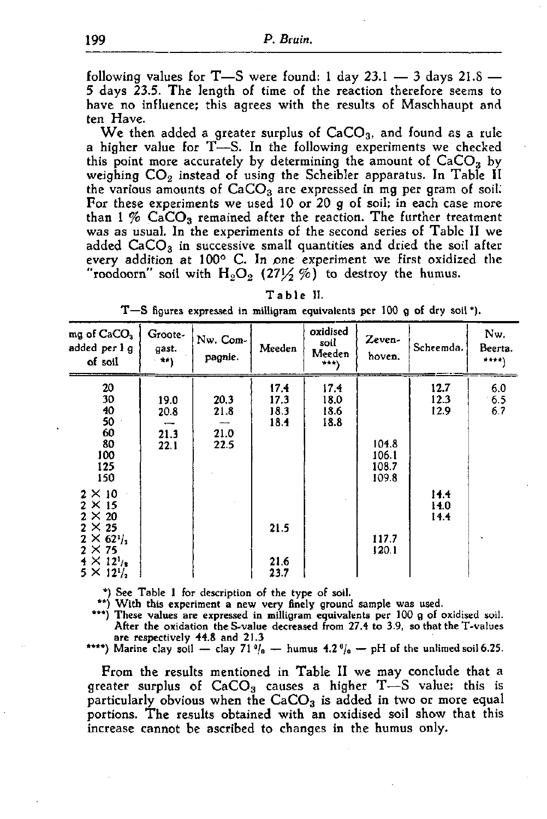following values for  $T$ —S were found: 1 day 23.1 — 3 days 21.8 — 5 days 23.5. The length of time of the reaction therefore seems to have no influence; this agrees with the results of Maschhaupt and ten Have.

We then added a greater surplus of  $CaCO<sub>3</sub>$ , and found as a rule a higher value for  $T$ -S. In the following experiments we checked this point more accurately by determining the amount of  $CaCO<sub>3</sub>$  by weighing  $CO_2$  instead of using the Scheibler apparatus. In Table II the various amounts of  $CaCO<sub>3</sub>$  are expressed in mg per gram of soil. For these experiments we used 10 or 20 g of soil; in each case more than 1  $%$  CaCO<sub>3</sub> remained after the reaction. The further treatment was as usual. In the experiments of the second series of Table II we added  $CaCO<sub>3</sub>$  in successive small quantities and dried the soil after every addition at 100° C. In pne experiment we first oxidized the "roodoorn" soil with  $H_2O_2$  (271/2 %) to destroy the humus.

| Н.<br>able<br>1 |
|-----------------|
|-----------------|

|  |  | T-S figures expressed in milligram equivalents per 100 g of dry soil *). |  |  |  |  |
|--|--|--------------------------------------------------------------------------|--|--|--|--|
|  |  |                                                                          |  |  |  |  |

| mg of $CaCO3$<br>added per l g<br>of soil                                                                                                              | Groote-<br>gast.<br>$x + 1$  | Nw. Com-<br>pagnie.          | Meeden                       | oxidised<br>soil<br>Meeden<br>$***$ | Zeven-<br>hoven.                 | Scheemda.            | Nw.<br>Beerta.<br>$\star$ + $\star$ + $\downarrow$ |
|--------------------------------------------------------------------------------------------------------------------------------------------------------|------------------------------|------------------------------|------------------------------|-------------------------------------|----------------------------------|----------------------|----------------------------------------------------|
| 20<br>30<br>40<br>50<br>60<br>80<br>100<br>125<br>150                                                                                                  | 19.0<br>20.8<br>21.3<br>22.1 | 20.3<br>21.8<br>21.0<br>22.5 | 17.4<br>17.3<br>18.3<br>18.4 | 17.4<br>18.0<br>18.6<br>18.8        | 104.8<br>106.1<br>108.7<br>109.8 | 12.7<br>12.3<br>12.9 | 6,0<br>65<br>6.7                                   |
| $2 \times 10$<br>$2 \times 15$<br>$2 \times 20$<br>$2 \times 25$<br>$2 \times 62^{1/2}$<br>$2 \times 75$<br>$4 \times 12^{1/2}$<br>$5 \times 12^{1/2}$ |                              |                              | 21.5<br>21.6<br>23.7         |                                     | 117.7<br>120.1                   | 14.4<br>14.0<br>14.4 |                                                    |

\*) See Table 1 for description of the type of soil.

\*\*) With this experiment a new very finely ground sample was used.

\*\*\*) These values are expressed in milligram equivalents per 100 g of oxidised soil. After the oxidation the S-value decreased from 27.4 to 3.9, so that the T-values are respectively 44.8 and 21.3

\*\*\*\*) Marine clay soil — clay  $71\frac{9}{9}$  — humus  $4.2\frac{9}{9}$  — pH of the unlimed

From the results mentioned in Table II we may conclude that a greater surplus of  $CaCO<sub>3</sub>$  causes a higher T-S value; this is particularly obvious when the  $CaCO<sub>3</sub>$  is added in two or more equal portions. The results obtained with an oxidised soil show that this increase cannot be ascribed to changes in the humus only.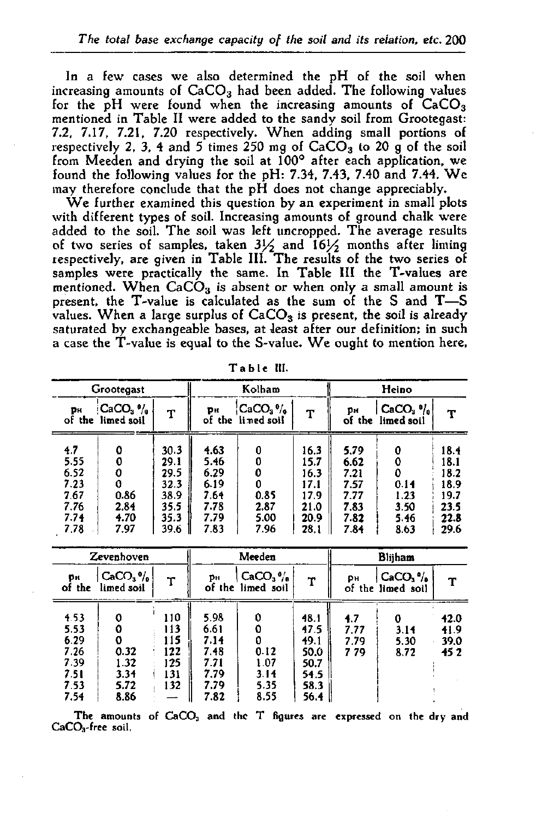In a few cases we also determined the pH of the soil when increasing amounts of  $CaCO<sub>3</sub>$  had been added. The following values for the  $pH$  were found when the increasing amounts of  $CaCO<sub>3</sub>$ mentioned in Table II were added to the sandy soil from Grootegast: 7.2, 7.17, 7.21, 7.20 respectively. When adding small portions of respectively 2, 3, 4 and 5 times 250 mg of  $CaCO<sub>3</sub>$  to 20 g of the soil from Meeden and drying the soil at 100° after each application, we found the following values for the pH: 7.34, 7.43, 7.40 and 7.44. We may therefore conclude that the pH does not change appreciably.

We further examined this question by an experiment in small plots with different types of soil. Increasing amounts of ground chalk were added to the soil. The soil was left uncropped. The average results of two series of samples, taken 3½ and 16½ months after  $\,$ respectively, are given in Table III. The results of the two se samples were practically the same. In Table III the T-values are mentioned. When  $CaCO<sub>3</sub>$  is absent or when only a small amount is present, the T-value is calculated as the sum of the S and T—S values. When a large surplus of  $CaCO<sub>3</sub>$  is present, the soil is already saturated by exchangeable bases, at least after our definition; in such a case the T-value is equal to the S-value. We ought to mention here,

|                                                    | Grootegast                                  |                                                      |                                                      | Kolham                         |                                                      |                                                      | Heino                                 |                                                      |
|----------------------------------------------------|---------------------------------------------|------------------------------------------------------|------------------------------------------------------|--------------------------------|------------------------------------------------------|------------------------------------------------------|---------------------------------------|------------------------------------------------------|
| pн                                                 | $CACO3$ $\frac{0}{10}$<br>of the limed soil | т                                                    | Þн                                                   | $CaCO3$ %<br>of the lined soil | т                                                    | pн                                                   | $CaCO3$ $v_{10}$<br>of the limed soil | т                                                    |
| 4.7<br>5.55<br>6.52<br>7.23<br>767<br>7.76<br>7.74 | ٥<br>0.86<br>2.84<br>4.70                   | 30.3<br>29.1<br>29.5<br>32.3<br>38.9<br>35.5<br>35.3 | 4.63<br>5.46<br>6.29<br>6.19<br>7.64<br>7.78<br>7.79 | 0<br>0.85<br>2.87<br>5.00      | 16.3<br>15.7<br>16.3<br>17.1<br>17.9<br>21.0<br>20.9 | 5.79<br>6.62<br>7.21<br>7.57<br>7.77<br>7.83<br>7.82 | 0.14<br>1.23<br>3.50<br>5.46          | 18.4<br>18.1<br>18.2<br>18.9<br>19.7<br>23.5<br>22.8 |
| 7.78                                               | 7.97                                        | 39.6                                                 | 7.83                                                 | 7.96                           | 28.1                                                 | 7.84                                                 | 8.63                                  | 29.6                                                 |

**T abl e III.** 

|                                                            | Zevenhoven                                        |                                               |                                                              | Meeden                               |                                                              |                            | <b>Bliiham</b>                 |                                                |
|------------------------------------------------------------|---------------------------------------------------|-----------------------------------------------|--------------------------------------------------------------|--------------------------------------|--------------------------------------------------------------|----------------------------|--------------------------------|------------------------------------------------|
| Oн<br>of the                                               | $CaCO3$ <sup>o</sup> / <sub>a</sub><br>limed soil | т                                             | Pн                                                           | $CaCO3$ %<br>of the limed soil       | т                                                            | Dн                         | $CaCO3$ %<br>of the limed soil | т                                              |
| 453<br>5.53<br>6.29<br>7.26<br>7 39<br>751<br>7.53<br>7.54 | 0.32<br>1.32<br>3.34<br>5.72<br>8.86              | 110<br>113<br>115<br>122<br>125<br>131<br>132 | 5.98<br>6.61<br>7.14<br>7.48<br>7.71<br>7.79<br>7.79<br>7.82 | 0.12<br>1.07<br>3.14<br>5.35<br>8.55 | 48.1<br>47.5<br>49.1<br>50.0<br>50.7<br>54.5<br>58.3<br>56.4 | 4.7<br>7.77<br>7.79<br>779 | 0<br>3.14<br>5.30<br>8.72      | <b>12.0</b><br>41.9<br>39.0<br>45 <sub>2</sub> |

**The amounts of CaCO: , and the T figures are expressed on the dry and CaCOa-free soil.**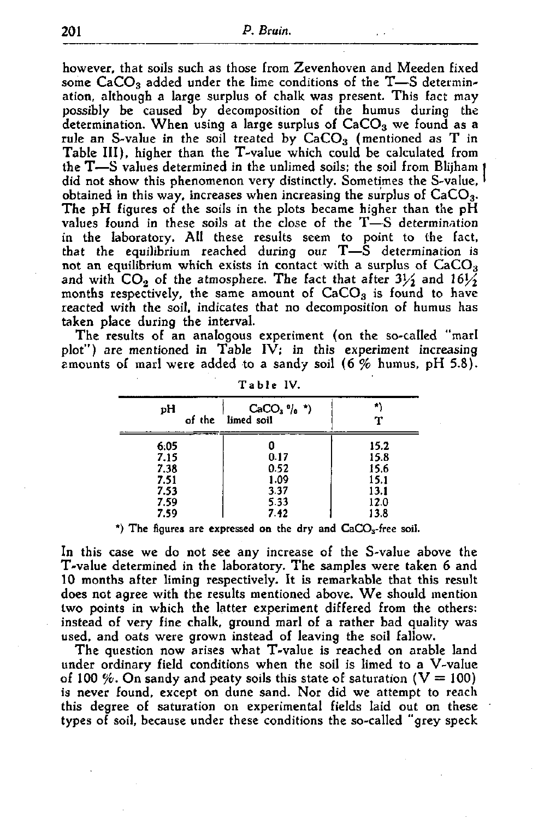however, that soils such as those from Zevenhoven and Meeden fixed some  $CaCO<sub>3</sub>$  added under the lime conditions of the T-S determination, although a large surplus of chalk was present. This fact may possibly be caused by decomposition of the humus during the determination. When using a large surplus of  $CaCO<sub>3</sub>$  we found as a rule an S-value in the soil treated by  $CaCO<sub>3</sub>$  (mentioned as T in Table III), higher than the T-value which could be calculated from the T—S values determined in the unlimed soils; the soil from Blijham J did not show this phenomenon very distinctly. Sometimes the S-value, ' obtained in this way, increases when increasing the surplus of  $CaCO<sub>3</sub>$ . The pH figures of the soils in the plots became higher than the pH values found in these soils at the close of the T—S determination in the laboratory. All these results seem to point to the fact, that the equilibrium reached during our  $T-\dot{S}$  determination is not an equilibrium which exists in contact with a surplus of CaCO<sub>3</sub> and with  $CO<sub>2</sub>$  of the atmosphere. The fact that after  $3\frac{1}{2}$  and  $16\frac{1}{2}$ months respectively, the same amount of  $CaCO<sub>3</sub>$  is found to have reacted with the soil, indicates that no decomposition of humus has taken place during the interval.

The results of an analogous experiment (on the so-called "marl plot") are mentioned in Table IV; in this experiment increasing amounts of marl were added to a sandy soil (6 % humus, pH 5.8).

| pH<br>of the | $CaCO3$ $\frac{1}{10}$ $\frac{\star}{10}$<br>limed soil | ×    |
|--------------|---------------------------------------------------------|------|
| 6.05         | 0                                                       | 15.2 |
| 7.15         | 0.17                                                    | 15.8 |
| 7.38         | 0.52                                                    | 15.6 |
| 7.51         | 1.09                                                    | 15.1 |
| 7.53         | 337                                                     | 13.1 |
| 7.59         | 5.33                                                    | 12.0 |
| 7.59         | 7.42                                                    | 13.8 |

Table IV.

\*) The figures are expressed on the dry and  $CaCO<sub>3</sub>$ -free soil.

In this case we do not see any increase of the S-value above the T-value determined in the laboratory. The samples were taken 6 and 10 months after liming respectively. It is remarkable that this result does not agree with the results mentioned above. We should mention two points in which the latter experiment differed from the others: instead of very fine chalk, ground marl of a rather bad quality was used, and oats were grown instead of leaving the soil fallow.

The question now arises what T-value is reached on arable land under ordinary field conditions when the soil is limed to a V-value of 100 %. On sandy and peaty soils this state of saturation ( $V = 100$ ) is never found, except on dune sand. Nor did we attempt to reach this degree of saturation on experimental fields laid out on these types of soil, because under these conditions the so-called "grey speck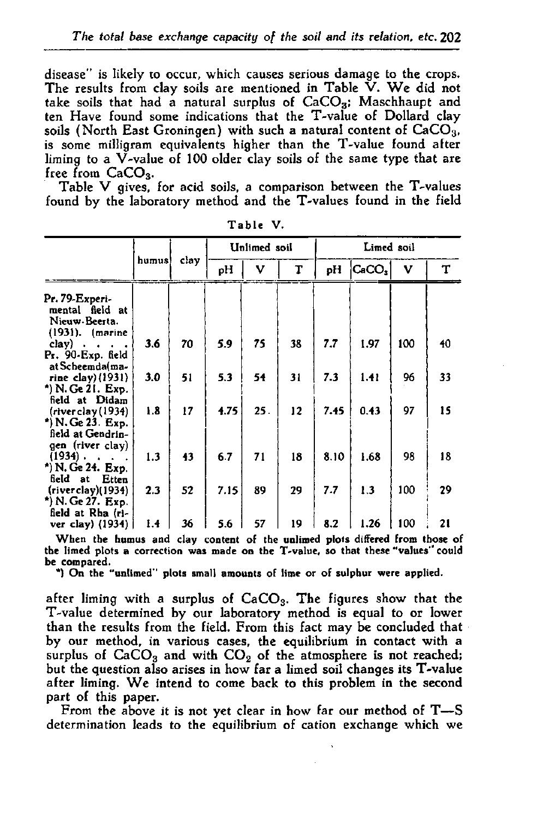disease" is likely to occur, which causes serious damage to the crops. The results from clay soils are mentioned in Table  $\check{V}$ . We did not take soils that had a natural surplus of  $CaCO<sub>3</sub>$ ; Maschhaupt and ten Have found some indications that the T-value of Dollard clay soils (North East Groningen) with such a natural content of  $CaCO<sub>3</sub>$ , is some milligram equivalents higher than the T-value found after liming to a V-value of 100 older clay soils of the same type that are free from CaCO<sub>3</sub>.

Table V gives, for acid soils, a comparison between the T-values found by the laboratory method and the T-values found in the field

|                                                                                  |        | <b>Unlimed</b> soil |      | Limed soil |    |      |                   |     |    |
|----------------------------------------------------------------------------------|--------|---------------------|------|------------|----|------|-------------------|-----|----|
|                                                                                  | humus) | clay                | pH   | v          | T  | pH   | CaCO <sub>3</sub> | V   | T  |
| Pr. 79-Experi-<br>mental field at<br>Nieuw Beerta.<br>$(1931)$ . (marine         |        |                     |      |            |    |      |                   |     |    |
| clay)<br>$\bullet$<br>Pr. 90-Exp. field<br>at Scheemda(ma-                       | 3.6    | 70                  | 5.9  | 75         | 38 | 7.7  | 1.97              | 100 | 40 |
| rine clay) $(1931)$<br>*) N. Ge 21. Exp.<br>field at Didam                       | 3.0    | 51                  | 5.3  | 54         | 31 | 7.3  | 1.41              | 96  | 33 |
| (river clay (1934)<br>*) N. Ge 23. Exp.<br>field at Gendrin-<br>gen (river clay) | 1.8    | 17                  | 4.75 | 25.        | 12 | 7.45 | 0.43              | 97  | 15 |
| $(1934)$ .<br>$\ddot{\phantom{0}}$<br>*) N. Ge 24. Exp.<br>field at<br>Etten     | 1.3    | 43                  | 6.7  | 71         | 18 | 8.10 | 1.68              | 98  | 18 |
| (riverclay)(1934)<br>*) N. Ge 27. Exp.<br>field at Rha (ri-                      | 2.3    | 52                  | 7.15 | 89         | 29 | 7.7  | 1.3               | 100 | 29 |
| ver clay) (1934)                                                                 | 14     | 36                  | 5.6  | 57         | 19 | 8.2  | 1.26              | 100 | 21 |

**Ta ble V.** 

**When the humus and clay content of the unlimed plots differed from those of the limed plots a correction was made on the T-value, so that these "values" could be compared.** 

**\*) On the "unlimed" plots small amounts of lime or of sulphur were applied.** 

after liming with a surplus of  $CaCO<sub>3</sub>$ . The figures show that the T-value determined by our laboratory method is equal to or lower than the results from the field. From this fact may be concluded that by our method, in various cases, the equilibrium in contact with a surplus of  $CaCO<sub>3</sub>$  and with  $CO<sub>2</sub>$  of the atmosphere is not reached; but the question also arises in how far a limed soil changes its T-value after liming. We intend to come back to this problem in the second part of this paper.

From the above it is not yet clear in how far our method of T—S determination leads to the equilibrium of cation exchange which we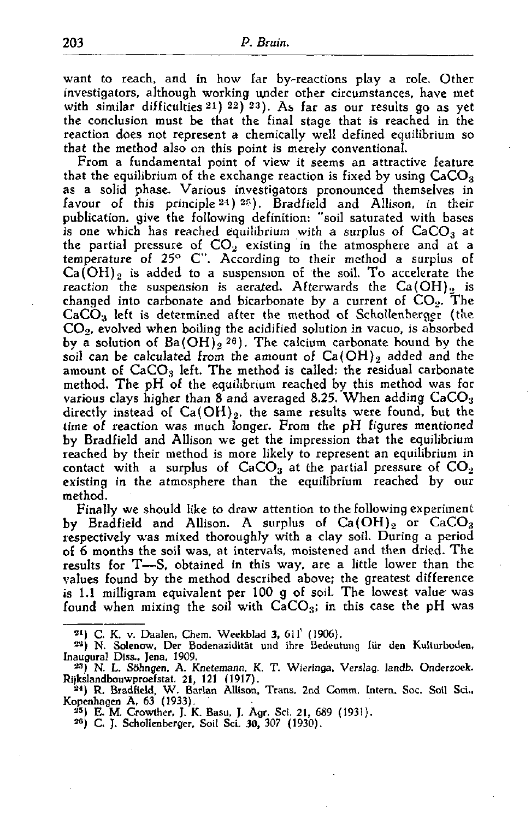want to reach, and in how far by-reactions play a role. Other investigators, although working under other circumstances, have met with similar difficulties  $21$ )  $22$ ) $23$ ). As far as our results go the conclusion must be that the final stage that is reached in the reaction does not represent a chemically well defined equilibrium so that the method also on this point is merely conventional.

From a fundamental point of view it seems an attractive feature that the equilibrium of the exchange reaction is fixed by using  $CaCO<sub>3</sub>$ as a solid phase. Various investigators pronounced themselves in favour of this principle  $24$ )  $25$ ). Bradfield and Allison, in publication, give the following definition: "soil saturated with bases is one which has reached equilibrium with a surplus of  $CaCO<sub>3</sub>$  at the partial pressure of  $\mathsf{CO}_2$  existing in the atmosphere and temperature of 25 $^{\circ}$  C". According to their method a surpl  $Ca(OH)_2$  is added to a suspension of the soil. To accelerate the reaction the suspension is aerated. Afterwards the  $Ca(OH)$ , is changed into carbonate and bicarbonate by a current of  $CO<sub>2</sub>$ . The  $CaCO<sub>3</sub>$  left is determined after the method of Schollenberger (the  $CO<sub>2</sub>$ , evolved when boiling the acidified solution in vacuo, is absorbed by a solution of  $Ba(OH)_{2}$   $26$ ). The calcium carbonate bound b soil can be calculated from the amount of  $Ca(OH)_2$  added and the amount of  $CaCO<sub>3</sub>$  left. The method is called: the residual carbonate method. The pH of the equilibrium reached by this method was for various clays higher than 8 and averaged 8.25. When adding  $CaCO<sub>3</sub>$ directly instead of  $Ca(OH)_2$ , the same results were found, but the time of reaction was much longer. From the pH figures mentioned by Bradfield and Allison we get the impression that the equilibrium reached by their method is more likely to represent an equilibrium in contact with a surplus of  $CaCO<sub>3</sub>$  at the partial pressure of  $CO<sub>2</sub>$ existing in the atmosphere than the equilibrium reached by our method.

Finally we should like to draw attention to the following experiment by Bradfield and Allison. A surplus of  $Ca(OH)_2$  or  $CaCO_3$ respectively was mixed thoroughly with a clay soil. During a period of 6 months the soil was, at intervals, moistened and then dried. The results for T—S, obtained in this way, are a little lower than the values found by the method described above; the greatest difference is 1.1 milligram equivalent per 100 g of soil. The lowest value was found when mixing the soil with  $CaCO<sub>3</sub>$ ; in this case the pH was

<sup>&</sup>lt;sup>21</sup>) C. K. v. Daalen, Chem. Weekblad 3, 611' (1906).

<sup>&</sup>lt;sup>22</sup>) N. Solenow, Der Bodenazidität und ihre Bedeutung für den Kulturi Inaugural Diss., Jena, 1909.

<sup>33</sup>) N. L. Söhngen, A. Knetemann, K. T. Wieringa, Verslag, landb. Onderzoek. Rijkslandbouwproefstat. 21, 121 (1917).<br>194) R. Bradfield, W. Barlan Allison, Trans. 2nd Comm. Intern. Soc. Sc

Kopenhagen A, 63 (1933).

<sup>25</sup>) E. M. Crowther, J. K. Basu, J. Agr. Sei. 21, 689 (1931).

<sup>&</sup>lt;sup>26</sup>) C. J. Schollenberger, Soil Sci. 30, 307 (1930).